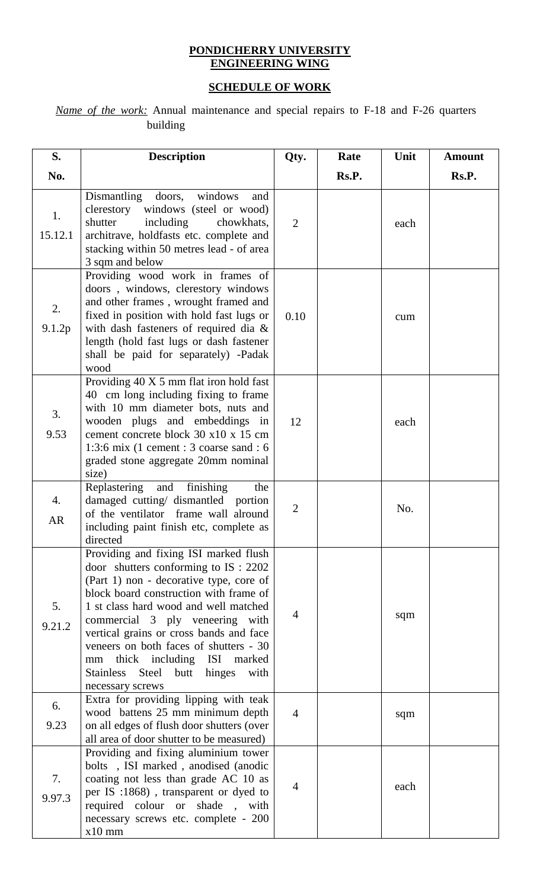## **PONDICHERRY UNIVERSITY ENGINEERING WING**

## **SCHEDULE OF WORK**

*Name of the work:* Annual maintenance and special repairs to F-18 and F-26 quarters building

| S.              | <b>Description</b>                                                                                                                                                                                                                                                                                                                                                                                                                          | Qty.           | Rate  | Unit | <b>Amount</b> |
|-----------------|---------------------------------------------------------------------------------------------------------------------------------------------------------------------------------------------------------------------------------------------------------------------------------------------------------------------------------------------------------------------------------------------------------------------------------------------|----------------|-------|------|---------------|
| No.             |                                                                                                                                                                                                                                                                                                                                                                                                                                             |                | Rs.P. |      | Rs.P.         |
| 1.<br>15.12.1   | Dismantling doors, windows<br>and<br>windows (steel or wood)<br>clerestory<br>shutter<br>including<br>chowkhats,<br>architrave, holdfasts etc. complete and<br>stacking within 50 metres lead - of area<br>3 sqm and below                                                                                                                                                                                                                  | $\overline{2}$ |       | each |               |
| 2.<br>9.1.2p    | Providing wood work in frames of<br>doors, windows, clerestory windows<br>and other frames, wrought framed and<br>fixed in position with hold fast lugs or<br>with dash fasteners of required dia $\&$<br>length (hold fast lugs or dash fastener<br>shall be paid for separately) -Padak<br>wood                                                                                                                                           | 0.10           |       | cum  |               |
| 3.<br>9.53      | Providing 40 X 5 mm flat iron hold fast<br>40 cm long including fixing to frame<br>with 10 mm diameter bots, nuts and<br>wooden plugs and embeddings in<br>cement concrete block 30 x10 x 15 cm<br>1:3:6 mix (1 cement : 3 coarse sand : 6<br>graded stone aggregate 20mm nominal<br>size)                                                                                                                                                  | 12             |       | each |               |
| 4.<br><b>AR</b> | Replastering<br>and finishing<br>the<br>damaged cutting/ dismantled portion<br>of the ventilator frame wall alround<br>including paint finish etc, complete as<br>directed                                                                                                                                                                                                                                                                  | $\overline{2}$ |       | No.  |               |
| 5.<br>9.21.2    | Providing and fixing ISI marked flush<br>door shutters conforming to IS: 2202<br>(Part 1) non - decorative type, core of<br>block board construction with frame of<br>1 st class hard wood and well matched<br>commercial 3 ply veneering with<br>vertical grains or cross bands and face<br>veneers on both faces of shutters - 30<br>thick including ISI marked<br>mm<br>Steel<br>hinges<br>Stainless<br>butt<br>with<br>necessary screws | 4              |       | sqm  |               |
| 6.<br>9.23      | Extra for providing lipping with teak<br>wood battens 25 mm minimum depth<br>on all edges of flush door shutters (over<br>all area of door shutter to be measured)                                                                                                                                                                                                                                                                          | $\overline{4}$ |       | sqm  |               |
| 7.<br>9.97.3    | Providing and fixing aluminium tower<br>bolts, ISI marked, anodised (anodic<br>coating not less than grade AC 10 as<br>per IS :1868), transparent or dyed to<br>required colour or shade, with<br>necessary screws etc. complete - 200<br>$x10$ mm                                                                                                                                                                                          | 4              |       | each |               |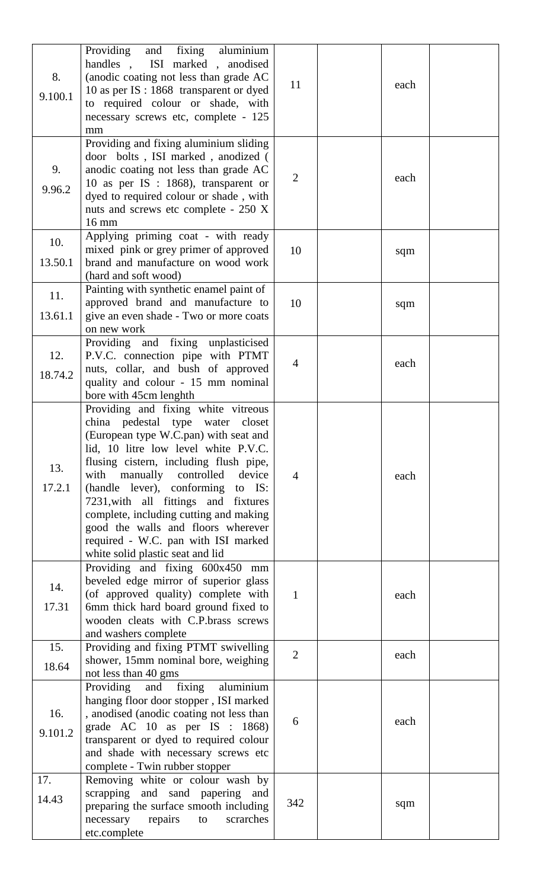| 8.<br>9.100.1  | and fixing aluminium<br>Providing<br>ISI marked, anodised<br>handles,<br>(anodic coating not less than grade AC<br>10 as per IS : 1868 transparent or dyed<br>to required colour or shade, with<br>necessary screws etc, complete - 125<br>mm                                                                                                                                                                                                                                          | 11             | each |  |
|----------------|----------------------------------------------------------------------------------------------------------------------------------------------------------------------------------------------------------------------------------------------------------------------------------------------------------------------------------------------------------------------------------------------------------------------------------------------------------------------------------------|----------------|------|--|
| 9.<br>9.96.2   | Providing and fixing aluminium sliding<br>door bolts, ISI marked, anodized (<br>anodic coating not less than grade AC<br>10 as per IS : $1868$ ), transparent or<br>dyed to required colour or shade, with<br>nuts and screws etc complete - 250 X<br>16 mm                                                                                                                                                                                                                            | $\overline{2}$ | each |  |
| 10.            | Applying priming coat - with ready<br>mixed pink or grey primer of approved                                                                                                                                                                                                                                                                                                                                                                                                            |                |      |  |
| 13.50.1        | brand and manufacture on wood work<br>(hard and soft wood)                                                                                                                                                                                                                                                                                                                                                                                                                             | 10             | sqm  |  |
| 11.<br>13.61.1 | Painting with synthetic enamel paint of<br>approved brand and manufacture to<br>give an even shade - Two or more coats<br>on new work                                                                                                                                                                                                                                                                                                                                                  | 10             | sqm  |  |
| 12.<br>18.74.2 | Providing and fixing unplasticised<br>P.V.C. connection pipe with PTMT<br>nuts, collar, and bush of approved<br>quality and colour - 15 mm nominal<br>bore with 45cm lenghth                                                                                                                                                                                                                                                                                                           | 4              | each |  |
| 13.<br>17.2.1  | Providing and fixing white vitreous<br>china pedestal type water<br>closet<br>(European type W.C.pan) with seat and<br>lid, 10 litre low level white P.V.C.<br>flusing cistern, including flush pipe,<br>with<br>manually controlled<br>device<br>(handle lever), conforming to IS:<br>7231, with all fittings and fixtures<br>complete, including cutting and making<br>good the walls and floors wherever<br>required - W.C. pan with ISI marked<br>white solid plastic seat and lid | $\overline{4}$ | each |  |
| 14.<br>17.31   | Providing and fixing 600x450 mm<br>beveled edge mirror of superior glass<br>(of approved quality) complete with<br>6mm thick hard board ground fixed to<br>wooden cleats with C.P.brass screws<br>and washers complete                                                                                                                                                                                                                                                                 | 1              | each |  |
| 15.<br>18.64   | Providing and fixing PTMT swivelling<br>shower, 15mm nominal bore, weighing<br>not less than 40 gms                                                                                                                                                                                                                                                                                                                                                                                    | $\overline{2}$ | each |  |
| 16.<br>9.101.2 | fixing<br>aluminium<br>Providing<br>and<br>hanging floor door stopper, ISI marked<br>, anodised (anodic coating not less than<br>grade AC $10$ as per IS : $1868$ )<br>transparent or dyed to required colour<br>and shade with necessary screws etc<br>complete - Twin rubber stopper                                                                                                                                                                                                 | 6              | each |  |
| 17.<br>14.43   | Removing white or colour wash by<br>scrapping and sand papering and<br>preparing the surface smooth including<br>necessary<br>repairs<br>scrarches<br>to<br>etc.complete                                                                                                                                                                                                                                                                                                               | 342            | sqm  |  |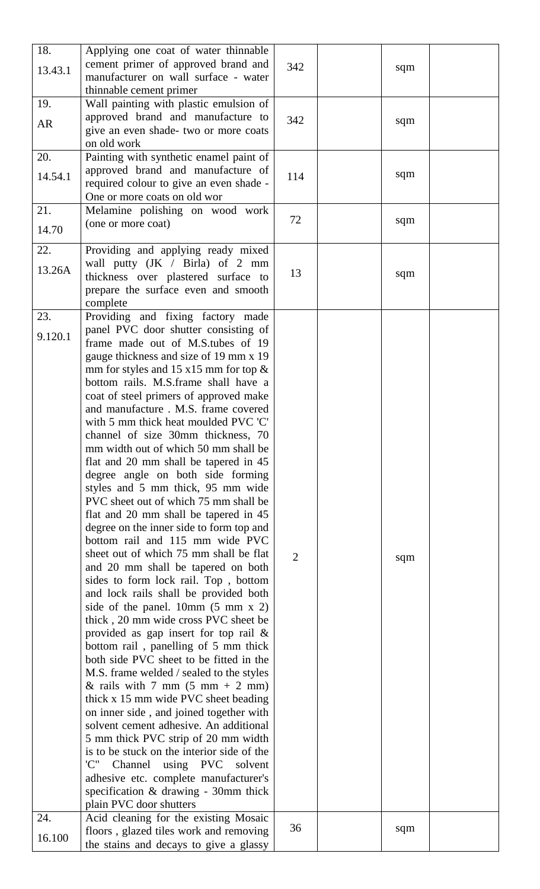| 18.<br>13.43.1 | Applying one coat of water thinnable<br>cement primer of approved brand and<br>manufacturer on wall surface - water | 342 | sqm |  |
|----------------|---------------------------------------------------------------------------------------------------------------------|-----|-----|--|
|                | thinnable cement primer                                                                                             |     |     |  |
| 19.            | Wall painting with plastic emulsion of                                                                              |     |     |  |
|                | approved brand and manufacture to                                                                                   | 342 |     |  |
| AR             | give an even shade- two or more coats                                                                               |     | sqm |  |
|                |                                                                                                                     |     |     |  |
|                | on old work                                                                                                         |     |     |  |
| 20.            | Painting with synthetic enamel paint of                                                                             |     |     |  |
|                | approved brand and manufacture of                                                                                   |     |     |  |
| 14.54.1        | required colour to give an even shade -                                                                             | 114 | sqm |  |
|                |                                                                                                                     |     |     |  |
|                | One or more coats on old wor                                                                                        |     |     |  |
| 21.            | Melamine polishing on wood work                                                                                     |     |     |  |
|                | (one or more coat)                                                                                                  | 72  | sqm |  |
| 14.70          |                                                                                                                     |     |     |  |
|                |                                                                                                                     |     |     |  |
| 22.            | Providing and applying ready mixed                                                                                  |     |     |  |
| 13.26A         | wall putty (JK / Birla) of 2 mm                                                                                     |     |     |  |
|                | thickness over plastered surface to                                                                                 | 13  | sqm |  |
|                | prepare the surface even and smooth                                                                                 |     |     |  |
|                |                                                                                                                     |     |     |  |
|                | complete                                                                                                            |     |     |  |
| 23.            | Providing and fixing factory made                                                                                   |     |     |  |
|                | panel PVC door shutter consisting of                                                                                |     |     |  |
| 9.120.1        | frame made out of M.S.tubes of 19                                                                                   |     |     |  |
|                | gauge thickness and size of 19 mm x 19                                                                              |     |     |  |
|                |                                                                                                                     |     |     |  |
|                | mm for styles and 15 $x15$ mm for top $\&$                                                                          |     |     |  |
|                | bottom rails. M.S.frame shall have a                                                                                |     |     |  |
|                | coat of steel primers of approved make                                                                              |     |     |  |
|                | and manufacture . M.S. frame covered                                                                                |     |     |  |
|                | with 5 mm thick heat moulded PVC 'C'                                                                                |     |     |  |
|                |                                                                                                                     |     |     |  |
|                | channel of size 30mm thickness, 70                                                                                  |     |     |  |
|                | mm width out of which 50 mm shall be                                                                                |     |     |  |
|                | flat and 20 mm shall be tapered in 45                                                                               |     |     |  |
|                | degree angle on both side forming                                                                                   |     |     |  |
|                |                                                                                                                     |     |     |  |
|                | styles and 5 mm thick, 95 mm wide                                                                                   |     |     |  |
|                | PVC sheet out of which 75 mm shall be                                                                               |     |     |  |
|                | flat and 20 mm shall be tapered in 45                                                                               |     |     |  |
|                | degree on the inner side to form top and                                                                            |     |     |  |
|                | bottom rail and 115 mm wide PVC                                                                                     |     |     |  |
|                |                                                                                                                     |     |     |  |
|                | sheet out of which 75 mm shall be flat                                                                              | 2   | sqm |  |
|                | and 20 mm shall be tapered on both                                                                                  |     |     |  |
|                | sides to form lock rail. Top, bottom                                                                                |     |     |  |
|                | and lock rails shall be provided both                                                                               |     |     |  |
|                | side of the panel. $10mm(5 mm x 2)$                                                                                 |     |     |  |
|                |                                                                                                                     |     |     |  |
|                | thick, 20 mm wide cross PVC sheet be                                                                                |     |     |  |
|                | provided as gap insert for top rail $\&$                                                                            |     |     |  |
|                | bottom rail, panelling of 5 mm thick                                                                                |     |     |  |
|                | both side PVC sheet to be fitted in the                                                                             |     |     |  |
|                | M.S. frame welded / sealed to the styles                                                                            |     |     |  |
|                |                                                                                                                     |     |     |  |
|                | & rails with 7 mm $(5 \text{ mm} + 2 \text{ mm})$                                                                   |     |     |  |
|                | thick x 15 mm wide PVC sheet beading                                                                                |     |     |  |
|                | on inner side, and joined together with                                                                             |     |     |  |
|                | solvent cement adhesive. An additional                                                                              |     |     |  |
|                | 5 mm thick PVC strip of 20 mm width                                                                                 |     |     |  |
|                | is to be stuck on the interior side of the                                                                          |     |     |  |
|                |                                                                                                                     |     |     |  |
|                | 'C''<br>Channel using PVC solvent                                                                                   |     |     |  |
|                | adhesive etc. complete manufacturer's                                                                               |     |     |  |
|                | specification & drawing - 30mm thick                                                                                |     |     |  |
|                | plain PVC door shutters                                                                                             |     |     |  |
| 24.            | Acid cleaning for the existing Mosaic                                                                               |     |     |  |
|                |                                                                                                                     | 36  | sqm |  |
| 16.100         | floors, glazed tiles work and removing                                                                              |     |     |  |
|                | the stains and decays to give a glassy                                                                              |     |     |  |